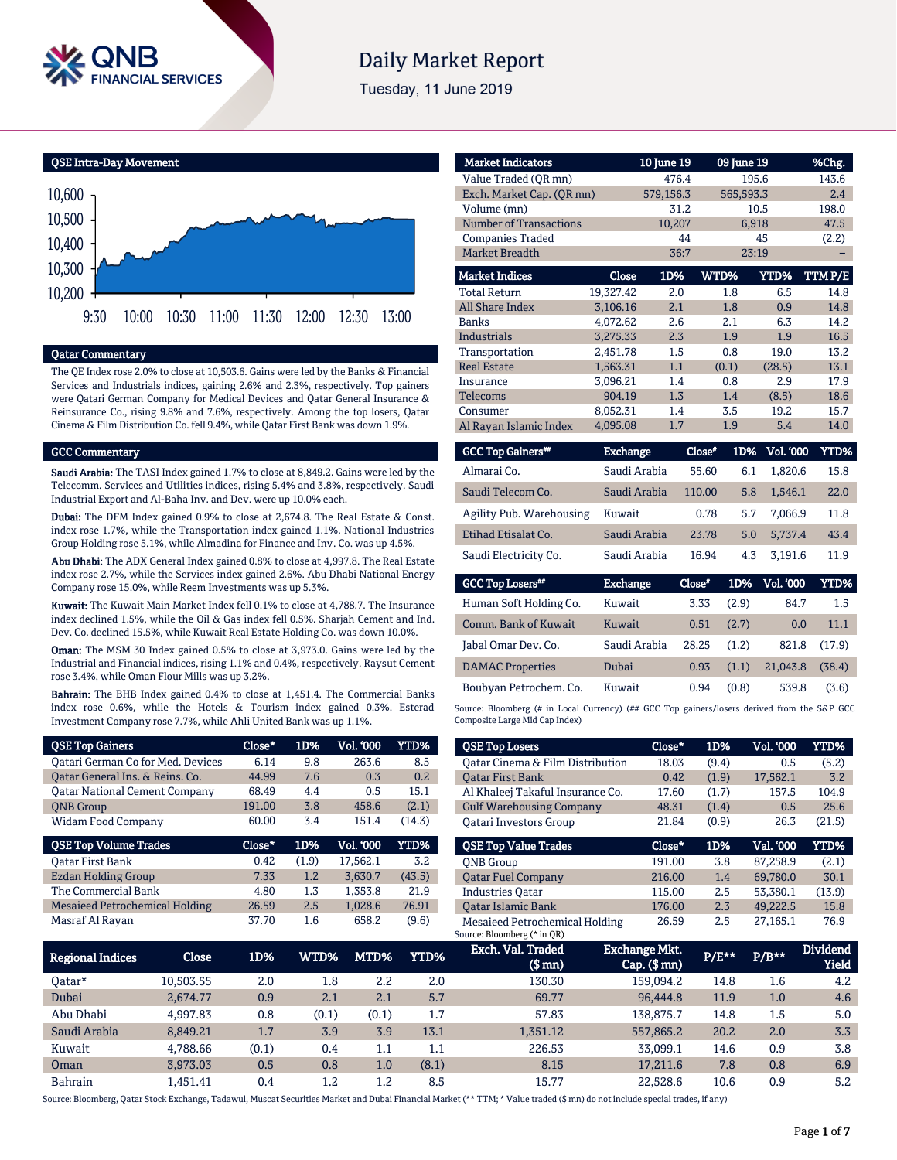

# **Daily Market Report**

Tuesday, 11 June 2019

QSE Intra-Day Movement



#### Qatar Commentary

The QE Index rose 2.0% to close at 10,503.6. Gains were led by the Banks & Financial Services and Industrials indices, gaining 2.6% and 2.3%, respectively. Top gainers were Qatari German Company for Medical Devices and Qatar General Insurance & Reinsurance Co., rising 9.8% and 7.6%, respectively. Among the top losers, Qatar Cinema & Film Distribution Co. fell 9.4%, while Qatar First Bank was down 1.9%.

#### GCC Commentary

Saudi Arabia: The TASI Index gained 1.7% to close at 8,849.2. Gains were led by the Telecomm. Services and Utilities indices, rising 5.4% and 3.8%, respectively. Saudi Industrial Export and Al-Baha Inv. and Dev. were up 10.0% each.

Dubai: The DFM Index gained 0.9% to close at 2,674.8. The Real Estate & Const. index rose 1.7%, while the Transportation index gained 1.1%. National Industries Group Holding rose 5.1%, while Almadina for Finance and Inv. Co. was up 4.5%.

Abu Dhabi: The ADX General Index gained 0.8% to close at 4,997.8. The Real Estate index rose 2.7%, while the Services index gained 2.6%. Abu Dhabi National Energy Company rose 15.0%, while Reem Investments was up 5.3%.

Kuwait: The Kuwait Main Market Index fell 0.1% to close at 4,788.7. The Insurance index declined 1.5%, while the Oil & Gas index fell 0.5%. Sharjah Cement and Ind. Dev. Co. declined 15.5%, while Kuwait Real Estate Holding Co. was down 10.0%.

Oman: The MSM 30 Index gained 0.5% to close at 3,973.0. Gains were led by the Industrial and Financial indices, rising 1.1% and 0.4%, respectively. Raysut Cement rose 3.4%, while Oman Flour Mills was up 3.2%.

Bahrain: The BHB Index gained 0.4% to close at 1,451.4. The Commercial Banks index rose 0.6%, while the Hotels & Tourism index gained 0.3%. Esterad Investment Company rose 7.7%, while Ahli United Bank was up 1.1%.

| <b>QSE Top Gainers</b>                   | $Close*$ | 1D%   | <b>Vol. '000</b> | YTD%   |
|------------------------------------------|----------|-------|------------------|--------|
| <b>Qatari German Co for Med. Devices</b> | 6.14     | 9.8   | 263.6            | 8.5    |
| Oatar General Ins. & Reins. Co.          | 44.99    | 7.6   | 0.3              | 0.2    |
| <b>Qatar National Cement Company</b>     | 68.49    | 4.4   | 0.5              | 15.1   |
| <b>ONB</b> Group                         | 191.00   | 3.8   | 458.6            | (2.1)  |
| <b>Widam Food Company</b>                | 60.00    | 3.4   | 151.4            | (14.3) |
|                                          |          |       |                  |        |
| <b>QSE Top Volume Trades</b>             | Close*   | 1D%   | <b>Vol. '000</b> | YTD%   |
| <b>Oatar First Bank</b>                  | 0.42     | (1.9) | 17,562.1         | 3.2    |
| <b>Ezdan Holding Group</b>               | 7.33     | 1.2   | 3,630.7          | (43.5) |
| The Commercial Bank                      | 4.80     | 1.3   | 1.353.8          | 21.9   |
| <b>Mesaieed Petrochemical Holding</b>    | 26.59    | 2.5   | 1,028.6          | 76.91  |

| <b>Market Indicators</b>      |           | 10 June 19 | 09 June 19 |             | %Chg.  |
|-------------------------------|-----------|------------|------------|-------------|--------|
| Value Traded (OR mn)          |           | 476.4      |            | 195.6       | 143.6  |
| Exch. Market Cap. (QR mn)     |           | 579,156.3  |            | 565,593.3   | 2.4    |
| Volume (mn)                   |           | 31.2       |            | 10.5        | 198.0  |
| <b>Number of Transactions</b> |           | 10,207     |            | 6,918       | 47.5   |
| <b>Companies Traded</b>       |           | 44         |            | 45          | (2.2)  |
| <b>Market Breadth</b>         |           | 36:7       |            | 23:19       |        |
| <b>Market Indices</b>         | Close     | 1D%        | WTD%       | <b>YTD%</b> | TTMP/E |
| <b>Total Return</b>           | 19,327.42 | 2.0        | 1.8        | 6.5         | 14.8   |
| All Share Index               | 3,106.16  | 2.1        | 1.8        | 0.9         | 14.8   |
| <b>Banks</b>                  | 4.072.62  | 2.6        | 2.1        | 6.3         | 14.2   |
| <b>Industrials</b>            | 3.275.33  | 2.3        | 1.9        | 1.9         | 16.5   |
| Transportation                | 2,451.78  | 1.5        | 0.8        | 19.0        | 13.2   |
| <b>Real Estate</b>            | 1,563.31  | 1.1        | (0.1)      | (28.5)      | 13.1   |
| Insurance                     | 3.096.21  | 1.4        | 0.8        | 2.9         | 17.9   |
| <b>Telecoms</b>               | 904.19    | 1.3        | 1.4        | (8.5)       | 18.6   |
| Consumer                      | 8,052.31  | 1.4        | 3.5        | 19.2        | 15.7   |
| Al Rayan Islamic Index        | 4.095.08  | 1.7        | 1.9        | 5.4         | 14.0   |

| <b>GCC Top Gainers</b>   | <b>Exchange</b> | Close* | 1D% | <b>Vol. '000</b> | YTD% |
|--------------------------|-----------------|--------|-----|------------------|------|
| Almarai Co.              | Saudi Arabia    | 55.60  | 6.1 | 1.820.6          | 15.8 |
| Saudi Telecom Co.        | Saudi Arabia    | 110.00 | 5.8 | 1.546.1          | 22.0 |
| Agility Pub. Warehousing | Kuwait          | 0.78   | 5.7 | 7.066.9          | 11.8 |
| Etihad Etisalat Co.      | Saudi Arabia    | 23.78  | 5.0 | 5.737.4          | 43.4 |
| Saudi Electricity Co.    | Saudi Arabia    | 16.94  | 4.3 | 3.191.6          | 11.9 |

| <b>GCC Top Losers**</b> | <b>Exchange</b> | Close* | 1D%   | <b>Vol. '000</b> | YTD%   |
|-------------------------|-----------------|--------|-------|------------------|--------|
| Human Soft Holding Co.  | Kuwait          | 3.33   | (2.9) | 84.7             | 1.5    |
| Comm. Bank of Kuwait    | Kuwait          | 0.51   | (2.7) | 0.0              | 11.1   |
| Jabal Omar Dev. Co.     | Saudi Arabia    | 28.25  | (1.2) | 821.8            | (17.9) |
| <b>DAMAC</b> Properties | Dubai           | 0.93   | (1.1) | 21.043.8         | (38.4) |
| Boubyan Petrochem. Co.  | Kuwait          | 0.94   | (0.8) | 539.8            | (3.6)  |

Source: Bloomberg (# in Local Currency) (## GCC Top gainers/losers derived from the S&P GCC Composite Large Mid Cap Index)

| <b>QSE Top Losers</b>            | Close* | 1D%   | <b>Vol. '000</b> | YTD%   |
|----------------------------------|--------|-------|------------------|--------|
| Oatar Cinema & Film Distribution | 18.03  | (9.4) | 0.5              | (5.2)  |
| <b>Oatar First Bank</b>          | 0.42   | (1.9) | 17,562.1         | 3.2    |
| Al Khaleej Takaful Insurance Co. | 17.60  | (1.7) | 157.5            | 104.9  |
| <b>Gulf Warehousing Company</b>  | 48.31  | (1.4) | 0.5              | 25.6   |
| <b>Oatari Investors Group</b>    | 21.84  | (0.9) | 26.3             | (21.5) |
|                                  |        |       |                  |        |
|                                  |        |       |                  |        |
| <b>OSE Top Value Trades</b>      | Close* | 1D%   | Val. '000        | YTD%   |
| <b>ONB</b> Group                 | 191.00 | 3.8   | 87,258.9         | (2.1)  |
| <b>Oatar Fuel Company</b>        | 216.00 | 1.4   | 69,780.0         | 30.1   |
| <b>Industries Oatar</b>          | 115.00 | 2.5   | 53.380.1         | (13.9) |
| <b>Oatar Islamic Bank</b>        | 176.00 | 2.3   | 49.222.5         | 15.8   |

| Regional Indices | Close     | 1D%   | WTD%    | MTD%  | YTD%    | Exch. Val. Traded<br>$$$ mn $)$ | <b>Exchange Mkt.</b><br>$Cap.$ ( $$rm)$ ) | P/E** | $P/B***$ | <b>Dividend</b><br><b>Yield</b> |
|------------------|-----------|-------|---------|-------|---------|---------------------------------|-------------------------------------------|-------|----------|---------------------------------|
| Oatar*           | 10.503.55 | 2.0   | $1.8\,$ | 2.2   | 2.0     | 130.30                          | 159.094.2                                 | 14.8  | 1.6      | 4.2                             |
| Dubai            | 2.674.77  | 0.9   | 2.1     | 2.1   | 5.7     | 69.77                           | 96,444.8                                  | 11.9  | 1.0      | 4.6                             |
| Abu Dhabi        | 4.997.83  | 0.8   | (0.1)   | (0.1) | 1.7     | 57.83                           | 138.875.7                                 | 14.8  | 1.5      | 5.0                             |
| Saudi Arabia     | 8,849.21  | 1.7   | 3.9     | 3.9   | 13.1    | 1,351.12                        | 557,865.2                                 | 20.2  | 2.0      | 3.3                             |
| Kuwait           | 4.788.66  | (0.1) | 0.4     | 1.1   | $1.1\,$ | 226.53                          | 33.099.1                                  | 14.6  | 0.9      | 3.8                             |
| Oman             | 3.973.03  | 0.5   | 0.8     | 1.0   | (8.1)   | 8.15                            | 17,211.6                                  | 7.8   | 0.8      | 6.9                             |
| <b>Bahrain</b>   | .451.41   | 0.4   | $1.2\,$ | 1.2   | 8.5     | 15.77                           | 22.528.6                                  | 10.6  | 0.9      | 5.2                             |

Source: Bloomberg, Qatar Stock Exchange, Tadawul, Muscat Securities Market and Dubai Financial Market (\*\* TTM; \* Value traded (\$ mn) do not include special trades, if any)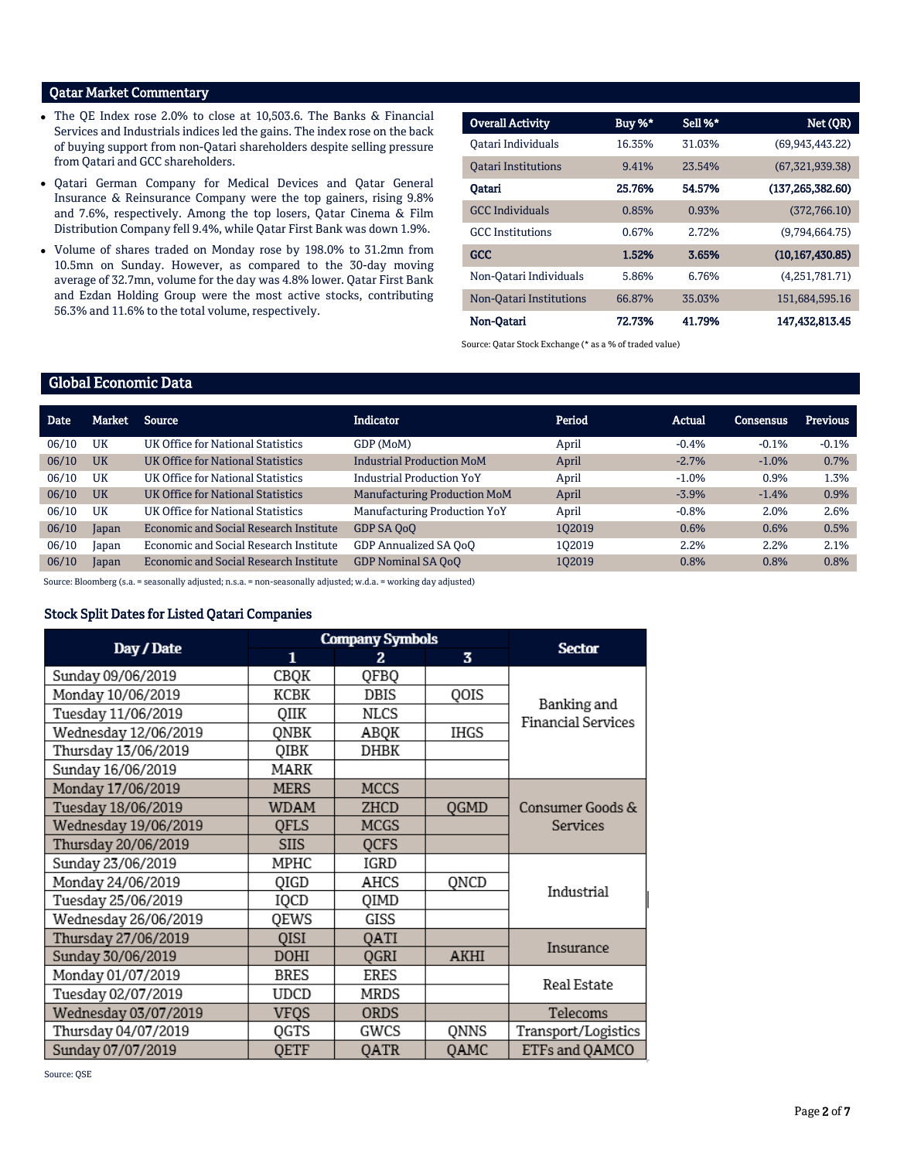## Qatar Market Commentary

- The QE Index rose 2.0% to close at 10,503.6. The Banks & Financial Services and Industrials indices led the gains. The index rose on the back of buying support from non-Qatari shareholders despite selling pressure from Qatari and GCC shareholders.
- Qatari German Company for Medical Devices and Qatar General Insurance & Reinsurance Company were the top gainers, rising 9.8% and 7.6%, respectively. Among the top losers, Qatar Cinema & Film Distribution Company fell 9.4%, while Qatar First Bank was down 1.9%.
- Volume of shares traded on Monday rose by 198.0% to 31.2mn from 10.5mn on Sunday. However, as compared to the 30-day moving average of 32.7mn, volume for the day was 4.8% lower. Qatar First Bank and Ezdan Holding Group were the most active stocks, contributing 56.3% and 11.6% to the total volume, respectively.

| <b>Overall Activity</b>    | Buy %* | Sell %* | Net (QR)           |
|----------------------------|--------|---------|--------------------|
| Oatari Individuals         | 16.35% | 31.03%  | (69, 943, 443, 22) |
| <b>Oatari Institutions</b> | 9.41%  | 23.54%  | (67, 321, 939.38)  |
| Oatari                     | 25.76% | 54.57%  | (137, 265, 382.60) |
| <b>GCC</b> Individuals     | 0.85%  | 0.93%   | (372.766.10)       |
| <b>GCC</b> Institutions    | 0.67%  | 2.72%   | (9,794,664.75)     |
| <b>GCC</b>                 | 1.52%  | 3.65%   | (10, 167, 430.85)  |
| Non-Oatari Individuals     | 5.86%  | 6.76%   | (4,251,781,71)     |
| Non-Oatari Institutions    | 66.87% | 35.03%  | 151,684,595.16     |
| Non-Oatari                 | 72.73% | 41.79%  | 147,432,813.45     |

Source: Qatar Stock Exchange (\* as a % of traded value)

## Global Economic Data

| Date  | Market    | Source                                 | <b>Indicator</b>                    | Period | Actual  | Consensus | <b>Previous</b> |
|-------|-----------|----------------------------------------|-------------------------------------|--------|---------|-----------|-----------------|
| 06/10 | <b>UK</b> | UK Office for National Statistics      | GDP (MoM)                           | April  | $-0.4%$ | $-0.1%$   | $-0.1%$         |
| 06/10 | <b>UK</b> | UK Office for National Statistics      | <b>Industrial Production MoM</b>    | April  | $-2.7%$ | $-1.0%$   | 0.7%            |
| 06/10 | UK        | UK Office for National Statistics      | <b>Industrial Production YoY</b>    | April  | $-1.0%$ | 0.9%      | 1.3%            |
| 06/10 | <b>UK</b> | UK Office for National Statistics      | <b>Manufacturing Production MoM</b> | April  | $-3.9%$ | $-1.4%$   | 0.9%            |
| 06/10 | UK        | UK Office for National Statistics      | Manufacturing Production YoY        | April  | $-0.8%$ | 2.0%      | 2.6%            |
| 06/10 | Japan     | Economic and Social Research Institute | GDP SA OoO                          | 102019 | 0.6%    | 0.6%      | 0.5%            |
| 06/10 | Japan     | Economic and Social Research Institute | GDP Annualized SA OoO               | 102019 | 2.2%    | 2.2%      | 2.1%            |
| 06/10 | Japan     | Economic and Social Research Institute | <b>GDP Nominal SA OoO</b>           | 102019 | 0.8%    | 0.8%      | 0.8%            |

Source: Bloomberg (s.a. = seasonally adjusted; n.s.a. = non-seasonally adjusted; w.d.a. = working day adjusted)

#### Stock Split Dates for Listed Qatari Companies

|                      |             | <b>Company Symbols</b> | <b>Sector</b> |                                          |
|----------------------|-------------|------------------------|---------------|------------------------------------------|
| Day / Date           | 1           | 2.                     | 3             |                                          |
| Sunday 09/06/2019    | CBQK        | QFBQ                   |               |                                          |
| Monday 10/06/2019    | KCBK        | DBIS                   | QOIS          |                                          |
| Tuesday 11/06/2019   | QIIK        | NLCS                   |               | Banking and<br><b>Financial Services</b> |
| Wednesday 12/06/2019 | ONBK        | ABQK                   | <b>IHGS</b>   |                                          |
| Thursday 13/06/2019  | QIBK        | DHBK                   |               |                                          |
| Sunday 16/06/2019    | MARK        |                        |               |                                          |
| Monday 17/06/2019    | <b>MERS</b> | <b>MCCS</b>            |               |                                          |
| Tuesday 18/06/2019   | <b>WDAM</b> | ZHCD                   | <b>OGMD</b>   | Consumer Goods &                         |
| Wednesday 19/06/2019 | <b>QFLS</b> | MCGS                   |               | Services                                 |
| Thursday 20/06/2019  | <b>SIIS</b> | <b>OCFS</b>            |               |                                          |
| Sunday 23/06/2019    | MPHC        | IGRD                   |               |                                          |
| Monday 24/06/2019    | QIGD        | AHCS                   | QNCD          | Industrial                               |
| Tuesday 25/06/2019   | IQCD        | QIMD                   |               |                                          |
| Wednesday 26/06/2019 | QEWS        | GISS                   |               |                                          |
| Thursday 27/06/2019  | QISI        | QATI                   |               | Insurance                                |
| Sunday 30/06/2019    | DOHI        | OGRI                   | <b>AKHI</b>   |                                          |
| Monday 01/07/2019    | <b>BRES</b> | ERES                   |               | Real Estate                              |
| Tuesday 02/07/2019   | <b>UDCD</b> | MRDS                   |               |                                          |
| Wednesday 03/07/2019 | VFQS        | <b>ORDS</b>            |               | Telecoms                                 |
| Thursday 04/07/2019  | QGTS        | GWCS                   | QNNS          | Transport/Logistics                      |
| Sunday 07/07/2019    | QETF        | QATR                   | OAMC          | ETFs and QAMCO                           |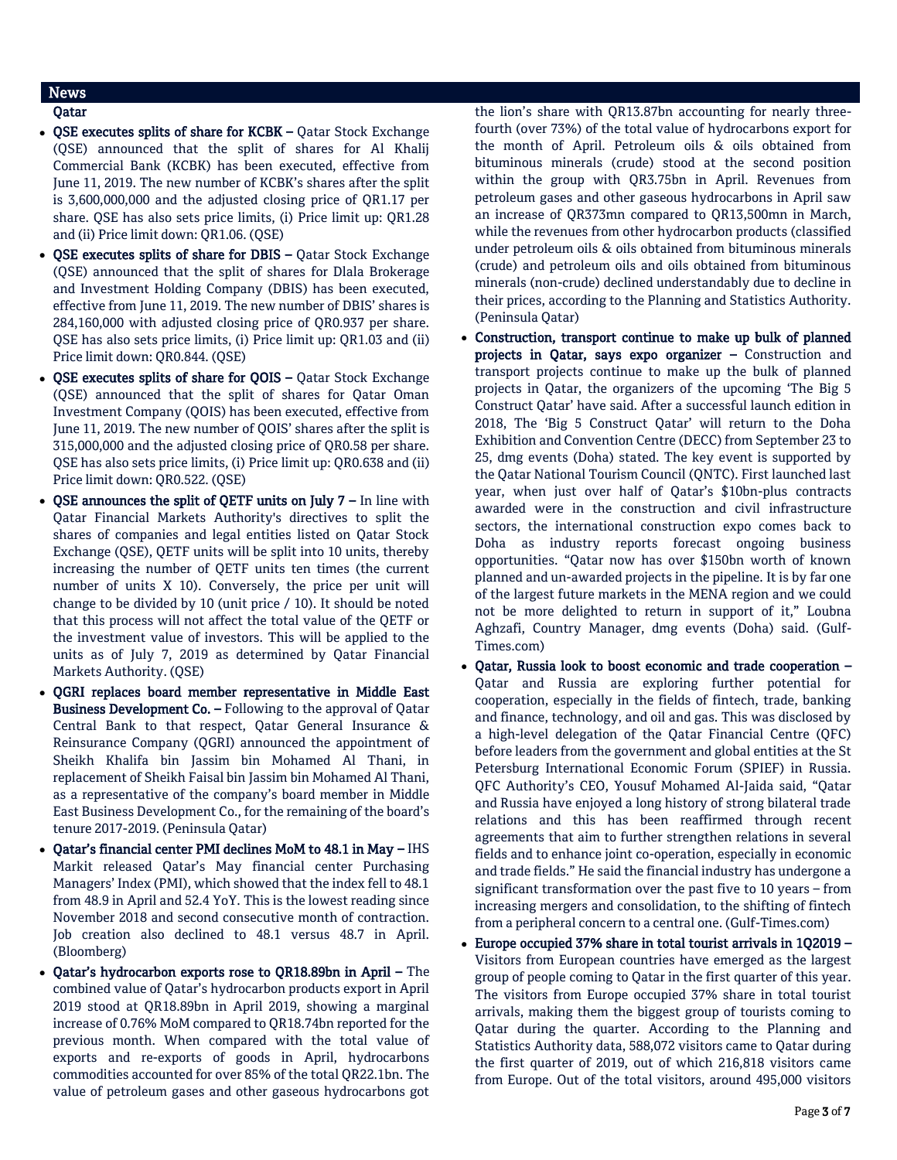## News

## Qatar

- OSE executes splits of share for KCBK Qatar Stock Exchange (QSE) announced that the split of shares for Al Khalij Commercial Bank (KCBK) has been executed, effective from June 11, 2019. The new number of KCBK's shares after the split is 3,600,000,000 and the adjusted closing price of QR1.17 per share. QSE has also sets price limits, (i) Price limit up: QR1.28 and (ii) Price limit down: QR1.06. (QSE)
- QSE executes splits of share for DBIS Qatar Stock Exchange (QSE) announced that the split of shares for Dlala Brokerage and Investment Holding Company (DBIS) has been executed, effective from June 11, 2019. The new number of DBIS' shares is 284,160,000 with adjusted closing price of QR0.937 per share. QSE has also sets price limits, (i) Price limit up: QR1.03 and (ii) Price limit down: QR0.844. (QSE)
- QSE executes splits of share for QOIS Qatar Stock Exchange (QSE) announced that the split of shares for Qatar Oman Investment Company (QOIS) has been executed, effective from June 11, 2019. The new number of QOIS' shares after the split is 315,000,000 and the adjusted closing price of QR0.58 per share. QSE has also sets price limits, (i) Price limit up: QR0.638 and (ii) Price limit down: QR0.522. (QSE)
- $\bullet$  QSE announces the split of QETF units on July 7 In line with Qatar Financial Markets Authority's directives to split the shares of companies and legal entities listed on Qatar Stock Exchange (QSE), QETF units will be split into 10 units, thereby increasing the number of QETF units ten times (the current number of units X 10). Conversely, the price per unit will change to be divided by 10 (unit price / 10). It should be noted that this process will not affect the total value of the QETF or the investment value of investors. This will be applied to the units as of July 7, 2019 as determined by Qatar Financial Markets Authority. (QSE)
- QGRI replaces board member representative in Middle East Business Development Co. – Following to the approval of Qatar Central Bank to that respect, Qatar General Insurance & Reinsurance Company (QGRI) announced the appointment of Sheikh Khalifa bin Jassim bin Mohamed Al Thani, in replacement of Sheikh Faisal bin Jassim bin Mohamed Al Thani, as a representative of the company's board member in Middle East Business Development Co., for the remaining of the board's tenure 2017-2019. (Peninsula Qatar)
- Qatar's financial center PMI declines MoM to 48.1 in May IHS Markit released Qatar's May financial center Purchasing Managers' Index (PMI), which showed that the index fell to 48.1 from 48.9 in April and 52.4 YoY. This is the lowest reading since November 2018 and second consecutive month of contraction. Job creation also declined to 48.1 versus 48.7 in April. (Bloomberg)
- Qatar's hydrocarbon exports rose to QR18.89bn in April The combined value of Qatar's hydrocarbon products export in April 2019 stood at QR18.89bn in April 2019, showing a marginal increase of 0.76% MoM compared to QR18.74bn reported for the previous month. When compared with the total value of exports and re-exports of goods in April, hydrocarbons commodities accounted for over 85% of the total QR22.1bn. The value of petroleum gases and other gaseous hydrocarbons got

the lion's share with QR13.87bn accounting for nearly threefourth (over 73%) of the total value of hydrocarbons export for the month of April. Petroleum oils & oils obtained from bituminous minerals (crude) stood at the second position within the group with QR3.75bn in April. Revenues from petroleum gases and other gaseous hydrocarbons in April saw an increase of QR373mn compared to QR13,500mn in March, while the revenues from other hydrocarbon products (classified under petroleum oils & oils obtained from bituminous minerals (crude) and petroleum oils and oils obtained from bituminous minerals (non-crude) declined understandably due to decline in their prices, according to the Planning and Statistics Authority. (Peninsula Qatar)

- Construction, transport continue to make up bulk of planned projects in Qatar, says expo organizer – Construction and transport projects continue to make up the bulk of planned projects in Qatar, the organizers of the upcoming 'The Big 5 Construct Qatar' have said. After a successful launch edition in 2018, The 'Big 5 Construct Qatar' will return to the Doha Exhibition and Convention Centre (DECC) from September 23 to 25, dmg events (Doha) stated. The key event is supported by the Qatar National Tourism Council (QNTC). First launched last year, when just over half of Qatar's \$10bn-plus contracts awarded were in the construction and civil infrastructure sectors, the international construction expo comes back to Doha as industry reports forecast ongoing business opportunities. "Qatar now has over \$150bn worth of known planned and un-awarded projects in the pipeline. It is by far one of the largest future markets in the MENA region and we could not be more delighted to return in support of it," Loubna Aghzafi, Country Manager, dmg events (Doha) said. (Gulf-Times.com)
- Qatar, Russia look to boost economic and trade cooperation Qatar and Russia are exploring further potential for cooperation, especially in the fields of fintech, trade, banking and finance, technology, and oil and gas. This was disclosed by a high-level delegation of the Qatar Financial Centre (QFC) before leaders from the government and global entities at the St Petersburg International Economic Forum (SPIEF) in Russia. QFC Authority's CEO, Yousuf Mohamed Al-Jaida said, "Qatar and Russia have enjoyed a long history of strong bilateral trade relations and this has been reaffirmed through recent agreements that aim to further strengthen relations in several fields and to enhance joint co-operation, especially in economic and trade fields." He said the financial industry has undergone a significant transformation over the past five to 10 years – from increasing mergers and consolidation, to the shifting of fintech from a peripheral concern to a central one. (Gulf-Times.com)
- Europe occupied 37% share in total tourist arrivals in 1Q2019 Visitors from European countries have emerged as the largest group of people coming to Qatar in the first quarter of this year. The visitors from Europe occupied 37% share in total tourist arrivals, making them the biggest group of tourists coming to Qatar during the quarter. According to the Planning and Statistics Authority data, 588,072 visitors came to Qatar during the first quarter of 2019, out of which 216,818 visitors came from Europe. Out of the total visitors, around 495,000 visitors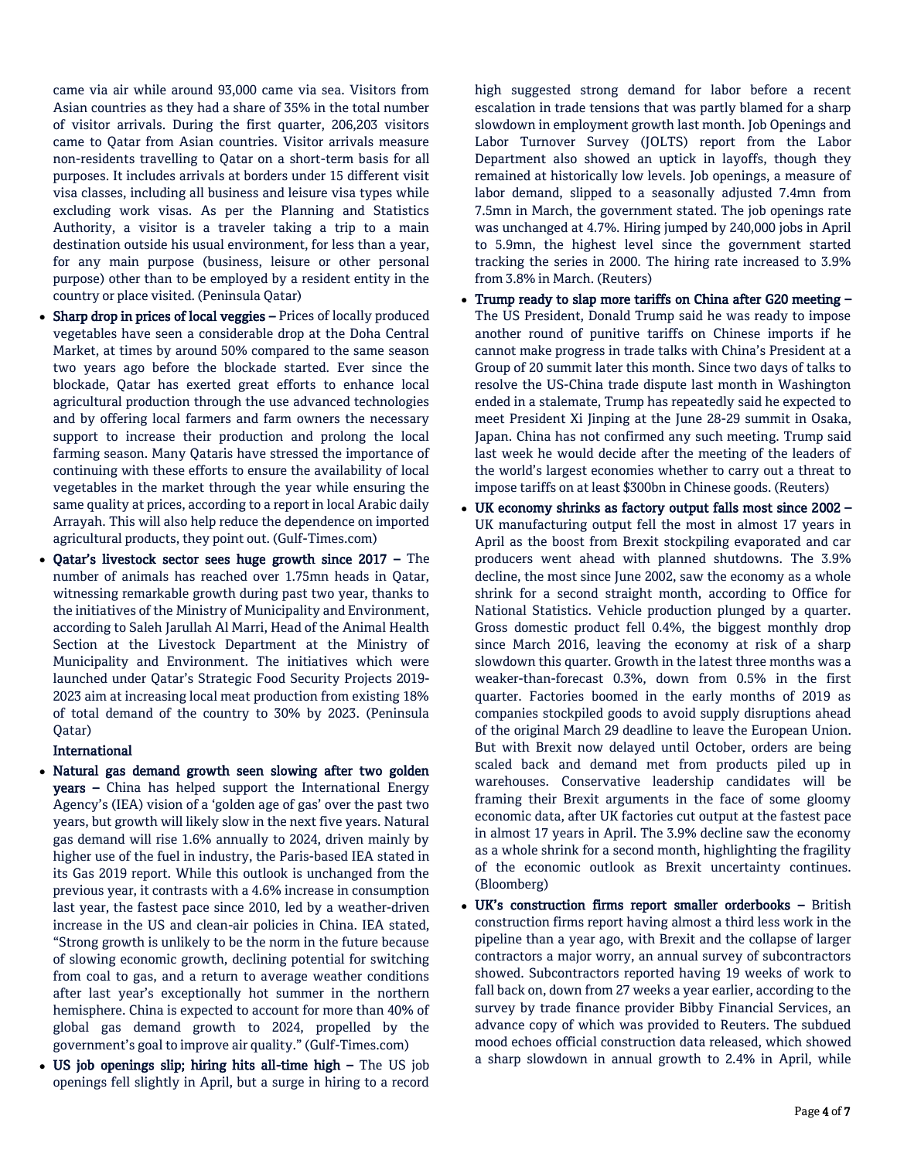came via air while around 93,000 came via sea. Visitors from Asian countries as they had a share of 35% in the total number of visitor arrivals. During the first quarter, 206,203 visitors came to Qatar from Asian countries. Visitor arrivals measure non-residents travelling to Qatar on a short-term basis for all purposes. It includes arrivals at borders under 15 different visit visa classes, including all business and leisure visa types while excluding work visas. As per the Planning and Statistics Authority, a visitor is a traveler taking a trip to a main destination outside his usual environment, for less than a year, for any main purpose (business, leisure or other personal purpose) other than to be employed by a resident entity in the country or place visited. (Peninsula Qatar)

- Sharp drop in prices of local veggies Prices of locally produced vegetables have seen a considerable drop at the Doha Central Market, at times by around 50% compared to the same season two years ago before the blockade started. Ever since the blockade, Qatar has exerted great efforts to enhance local agricultural production through the use advanced technologies and by offering local farmers and farm owners the necessary support to increase their production and prolong the local farming season. Many Qataris have stressed the importance of continuing with these efforts to ensure the availability of local vegetables in the market through the year while ensuring the same quality at prices, according to a report in local Arabic daily Arrayah. This will also help reduce the dependence on imported agricultural products, they point out. (Gulf-Times.com)
- Qatar's livestock sector sees huge growth since 2017 The number of animals has reached over 1.75mn heads in Qatar, witnessing remarkable growth during past two year, thanks to the initiatives of the Ministry of Municipality and Environment, according to Saleh Jarullah Al Marri, Head of the Animal Health Section at the Livestock Department at the Ministry of Municipality and Environment. The initiatives which were launched under Qatar's Strategic Food Security Projects 2019- 2023 aim at increasing local meat production from existing 18% of total demand of the country to 30% by 2023. (Peninsula Qatar)

#### International

- Natural gas demand growth seen slowing after two golden years – China has helped support the International Energy Agency's (IEA) vision of a 'golden age of gas' over the past two years, but growth will likely slow in the next five years. Natural gas demand will rise 1.6% annually to 2024, driven mainly by higher use of the fuel in industry, the Paris-based IEA stated in its Gas 2019 report. While this outlook is unchanged from the previous year, it contrasts with a 4.6% increase in consumption last year, the fastest pace since 2010, led by a weather-driven increase in the US and clean-air policies in China. IEA stated, "Strong growth is unlikely to be the norm in the future because of slowing economic growth, declining potential for switching from coal to gas, and a return to average weather conditions after last year's exceptionally hot summer in the northern hemisphere. China is expected to account for more than 40% of global gas demand growth to 2024, propelled by the government's goal to improve air quality." (Gulf-Times.com)
- US job openings slip; hiring hits all-time high The US job openings fell slightly in April, but a surge in hiring to a record

high suggested strong demand for labor before a recent escalation in trade tensions that was partly blamed for a sharp slowdown in employment growth last month. Job Openings and Labor Turnover Survey (JOLTS) report from the Labor Department also showed an uptick in layoffs, though they remained at historically low levels. Job openings, a measure of labor demand, slipped to a seasonally adjusted 7.4mn from 7.5mn in March, the government stated. The job openings rate was unchanged at 4.7%. Hiring jumped by 240,000 jobs in April to 5.9mn, the highest level since the government started tracking the series in 2000. The hiring rate increased to 3.9% from 3.8% in March. (Reuters)

- Trump ready to slap more tariffs on China after G20 meeting The US President, Donald Trump said he was ready to impose another round of punitive tariffs on Chinese imports if he cannot make progress in trade talks with China's President at a Group of 20 summit later this month. Since two days of talks to resolve the US-China trade dispute last month in Washington ended in a stalemate, Trump has repeatedly said he expected to meet President Xi Jinping at the June 28-29 summit in Osaka, Japan. China has not confirmed any such meeting. Trump said last week he would decide after the meeting of the leaders of the world's largest economies whether to carry out a threat to impose tariffs on at least \$300bn in Chinese goods. (Reuters)
- UK economy shrinks as factory output falls most since 2002 UK manufacturing output fell the most in almost 17 years in April as the boost from Brexit stockpiling evaporated and car producers went ahead with planned shutdowns. The 3.9% decline, the most since June 2002, saw the economy as a whole shrink for a second straight month, according to Office for National Statistics. Vehicle production plunged by a quarter. Gross domestic product fell 0.4%, the biggest monthly drop since March 2016, leaving the economy at risk of a sharp slowdown this quarter. Growth in the latest three months was a weaker-than-forecast 0.3%, down from 0.5% in the first quarter. Factories boomed in the early months of 2019 as companies stockpiled goods to avoid supply disruptions ahead of the original March 29 deadline to leave the European Union. But with Brexit now delayed until October, orders are being scaled back and demand met from products piled up in warehouses. Conservative leadership candidates will be framing their Brexit arguments in the face of some gloomy economic data, after UK factories cut output at the fastest pace in almost 17 years in April. The 3.9% decline saw the economy as a whole shrink for a second month, highlighting the fragility of the economic outlook as Brexit uncertainty continues. (Bloomberg)
- UK's construction firms report smaller orderbooks British construction firms report having almost a third less work in the pipeline than a year ago, with Brexit and the collapse of larger contractors a major worry, an annual survey of subcontractors showed. Subcontractors reported having 19 weeks of work to fall back on, down from 27 weeks a year earlier, according to the survey by trade finance provider Bibby Financial Services, an advance copy of which was provided to Reuters. The subdued mood echoes official construction data released, which showed a sharp slowdown in annual growth to 2.4% in April, while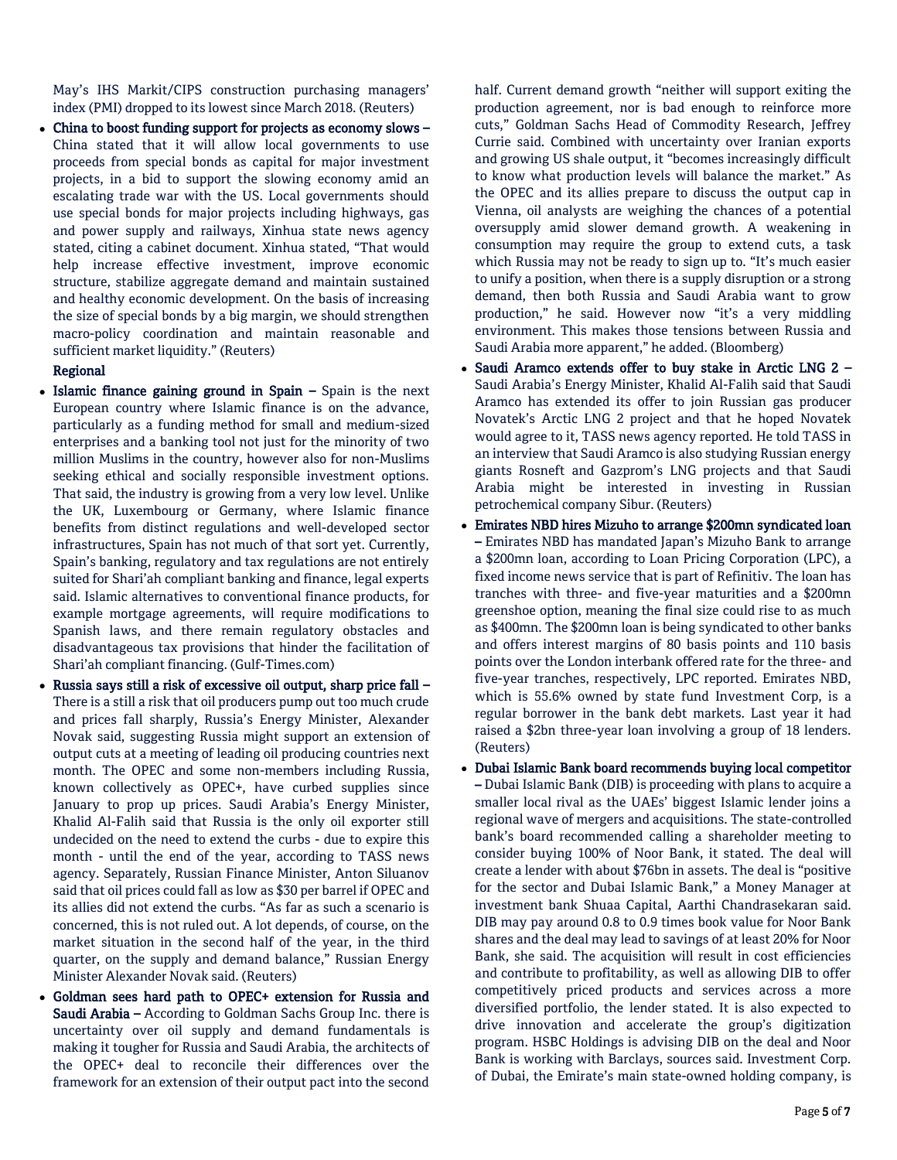May's IHS Markit/CIPS construction purchasing managers' index (PMI) dropped to its lowest since March 2018. (Reuters)

 China to boost funding support for projects as economy slows – China stated that it will allow local governments to use proceeds from special bonds as capital for major investment projects, in a bid to support the slowing economy amid an escalating trade war with the US. Local governments should use special bonds for major projects including highways, gas and power supply and railways, Xinhua state news agency stated, citing a cabinet document. Xinhua stated, "That would help increase effective investment, improve economic structure, stabilize aggregate demand and maintain sustained and healthy economic development. On the basis of increasing the size of special bonds by a big margin, we should strengthen macro-policy coordination and maintain reasonable and sufficient market liquidity." (Reuters)

### Regional

- Islamic finance gaining ground in Spain Spain is the next European country where Islamic finance is on the advance, particularly as a funding method for small and medium-sized enterprises and a banking tool not just for the minority of two million Muslims in the country, however also for non-Muslims seeking ethical and socially responsible investment options. That said, the industry is growing from a very low level. Unlike the UK, Luxembourg or Germany, where Islamic finance benefits from distinct regulations and well-developed sector infrastructures, Spain has not much of that sort yet. Currently, Spain's banking, regulatory and tax regulations are not entirely suited for Shari'ah compliant banking and finance, legal experts said. Islamic alternatives to conventional finance products, for example mortgage agreements, will require modifications to Spanish laws, and there remain regulatory obstacles and disadvantageous tax provisions that hinder the facilitation of Shari'ah compliant financing. (Gulf-Times.com)
- Russia says still a risk of excessive oil output, sharp price fall There is a still a risk that oil producers pump out too much crude and prices fall sharply, Russia's Energy Minister, Alexander Novak said, suggesting Russia might support an extension of output cuts at a meeting of leading oil producing countries next month. The OPEC and some non-members including Russia, known collectively as OPEC+, have curbed supplies since January to prop up prices. Saudi Arabia's Energy Minister, Khalid Al-Falih said that Russia is the only oil exporter still undecided on the need to extend the curbs - due to expire this month - until the end of the year, according to TASS news agency. Separately, Russian Finance Minister, Anton Siluanov said that oil prices could fall as low as \$30 per barrel if OPEC and its allies did not extend the curbs. "As far as such a scenario is concerned, this is not ruled out. A lot depends, of course, on the market situation in the second half of the year, in the third quarter, on the supply and demand balance," Russian Energy Minister Alexander Novak said. (Reuters)
- Goldman sees hard path to OPEC+ extension for Russia and Saudi Arabia – According to Goldman Sachs Group Inc. there is uncertainty over oil supply and demand fundamentals is making it tougher for Russia and Saudi Arabia, the architects of the OPEC+ deal to reconcile their differences over the framework for an extension of their output pact into the second

half. Current demand growth "neither will support exiting the production agreement, nor is bad enough to reinforce more cuts," Goldman Sachs Head of Commodity Research, Jeffrey Currie said. Combined with uncertainty over Iranian exports and growing US shale output, it "becomes increasingly difficult to know what production levels will balance the market." As the OPEC and its allies prepare to discuss the output cap in Vienna, oil analysts are weighing the chances of a potential oversupply amid slower demand growth. A weakening in consumption may require the group to extend cuts, a task which Russia may not be ready to sign up to. "It's much easier to unify a position, when there is a supply disruption or a strong demand, then both Russia and Saudi Arabia want to grow production," he said. However now "it's a very middling environment. This makes those tensions between Russia and Saudi Arabia more apparent," he added. (Bloomberg)

- Saudi Aramco extends offer to buy stake in Arctic LNG 2 Saudi Arabia's Energy Minister, Khalid Al-Falih said that Saudi Aramco has extended its offer to join Russian gas producer Novatek's Arctic LNG 2 project and that he hoped Novatek would agree to it, TASS news agency reported. He told TASS in an interview that Saudi Aramco is also studying Russian energy giants Rosneft and Gazprom's LNG projects and that Saudi Arabia might be interested in investing in Russian petrochemical company Sibur. (Reuters)
- Emirates NBD hires Mizuho to arrange \$200mn syndicated loan – Emirates NBD has mandated Japan's Mizuho Bank to arrange a \$200mn loan, according to Loan Pricing Corporation (LPC), a fixed income news service that is part of Refinitiv. The loan has tranches with three- and five-year maturities and a \$200mn greenshoe option, meaning the final size could rise to as much as \$400mn. The \$200mn loan is being syndicated to other banks and offers interest margins of 80 basis points and 110 basis points over the London interbank offered rate for the three- and five-year tranches, respectively, LPC reported. Emirates NBD, which is 55.6% owned by state fund Investment Corp, is a regular borrower in the bank debt markets. Last year it had raised a \$2bn three-year loan involving a group of 18 lenders. (Reuters)
- Dubai Islamic Bank board recommends buying local competitor – Dubai Islamic Bank (DIB) is proceeding with plans to acquire a smaller local rival as the UAEs' biggest Islamic lender joins a regional wave of mergers and acquisitions. The state-controlled bank's board recommended calling a shareholder meeting to consider buying 100% of Noor Bank, it stated. The deal will create a lender with about \$76bn in assets. The deal is "positive for the sector and Dubai Islamic Bank," a Money Manager at investment bank Shuaa Capital, Aarthi Chandrasekaran said. DIB may pay around 0.8 to 0.9 times book value for Noor Bank shares and the deal may lead to savings of at least 20% for Noor Bank, she said. The acquisition will result in cost efficiencies and contribute to profitability, as well as allowing DIB to offer competitively priced products and services across a more diversified portfolio, the lender stated. It is also expected to drive innovation and accelerate the group's digitization program. HSBC Holdings is advising DIB on the deal and Noor Bank is working with Barclays, sources said. Investment Corp. of Dubai, the Emirate's main state-owned holding company, is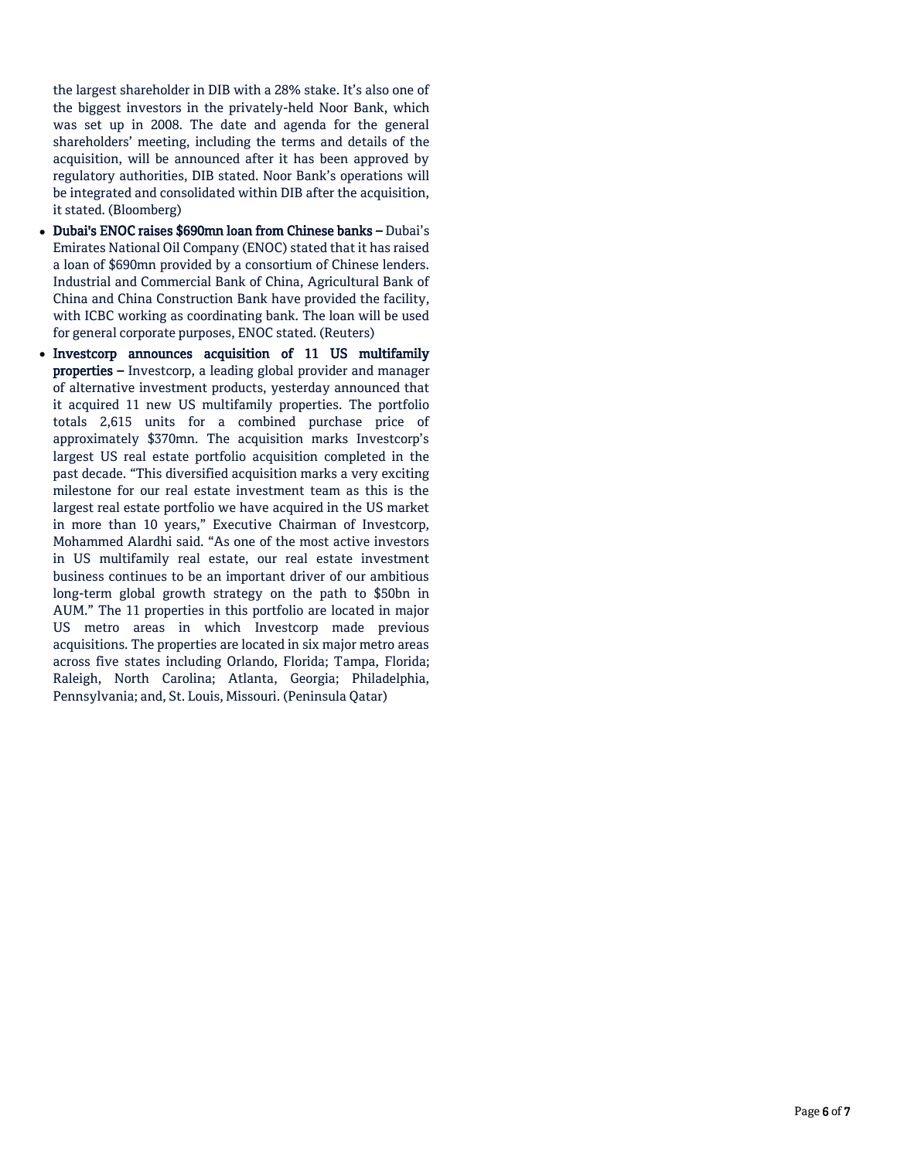the largest shareholder in DIB with a 28% stake. It's also one of the biggest investors in the privately-held Noor Bank, which was set up in 2008. The date and agenda for the general shareholders' meeting, including the terms and details of the acquisition, will be announced after it has been approved by regulatory authorities, DIB stated. Noor Bank's operations will be integrated and consolidated within DIB after the acquisition, it stated. (Bloomberg)

- Dubai's ENOC raises \$690mn loan from Chinese banks Dubai's Emirates National Oil Company (ENOC) stated that it has raised a loan of \$690mn provided by a consortium of Chinese lenders. Industrial and Commercial Bank of China, Agricultural Bank of China and China Construction Bank have provided the facility, with ICBC working as coordinating bank. The loan will be used for general corporate purposes, ENOC stated. (Reuters)
- Investcorp announces acquisition of 11 US multifamily properties – Investcorp, a leading global provider and manager of alternative investment products, yesterday announced that it acquired 11 new US multifamily properties. The portfolio totals 2,615 units for a combined purchase price of approximately \$370mn. The acquisition marks Investcorp's largest US real estate portfolio acquisition completed in the past decade. "This diversified acquisition marks a very exciting milestone for our real estate investment team as this is the largest real estate portfolio we have acquired in the US market in more than 10 years," Executive Chairman of Investcorp, Mohammed Alardhi said. "As one of the most active investors in US multifamily real estate, our real estate investment business continues to be an important driver of our ambitious long-term global growth strategy on the path to \$50bn in AUM." The 11 properties in this portfolio are located in major US metro areas in which Investcorp made previous acquisitions. The properties are located in six major metro areas across five states including Orlando, Florida; Tampa, Florida; Raleigh, North Carolina; Atlanta, Georgia; Philadelphia, Pennsylvania; and, St. Louis, Missouri. (Peninsula Qatar)